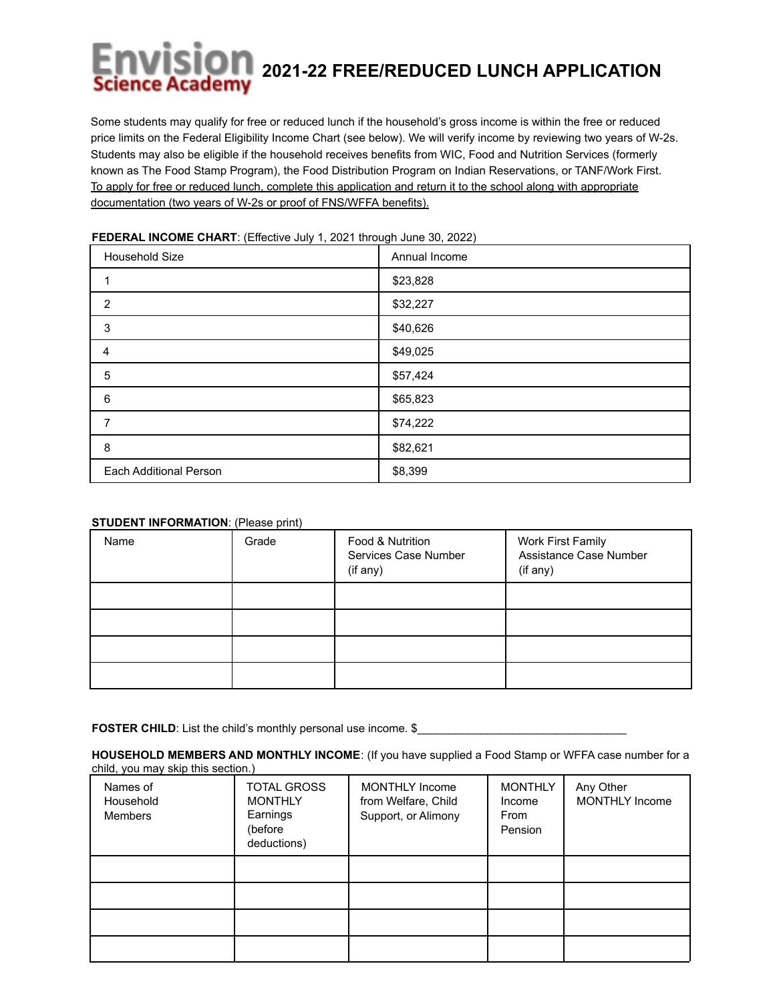## **2021-22 FREE/REDUCED LUNCH APPLICATION**

Some students may qualify for free or reduced lunch if the household's gross income is within the free or reduced price limits on the Federal Eligibility Income Chart (see below). We will verify income by reviewing two years of W-2s. Students may also be eligible if the household receives benefits from WIC, Food and Nutrition Services (formerly known as The Food Stamp Program), the Food Distribution Program on Indian Reservations, or TANF/Work First. To apply for free or reduced lunch, complete this application and return it to the school along with appropriate documentation (two years of W-2s or proof of FNS/WFFA benefits).

| Household Size         | Annual Income |
|------------------------|---------------|
|                        | \$23,828      |
| 2                      | \$32,227      |
| $\sqrt{3}$             | \$40,626      |
| 4                      | \$49,025      |
| 5                      | \$57,424      |
| 6                      | \$65,823      |
| 7                      | \$74,222      |
| 8                      | \$82,621      |
| Each Additional Person | \$8,399       |

## **FEDERAL INCOME CHART**: (Effective July 1, 2021 through June 30, 2022)

## **STUDENT INFORMATION: (Please print)**

| Name | Grade | Food & Nutrition<br>Services Case Number<br>(if any) | Work First Family<br>Assistance Case Number<br>(if any) |
|------|-------|------------------------------------------------------|---------------------------------------------------------|
|      |       |                                                      |                                                         |
|      |       |                                                      |                                                         |
|      |       |                                                      |                                                         |
|      |       |                                                      |                                                         |

**FOSTER CHILD**: List the child's monthly personal use income. \$

**HOUSEHOLD MEMBERS AND MONTHLY INCOME**: (If you have supplied a Food Stamp or WFFA case number for a child, you may skip this section.)

| Names of<br>Household<br><b>Members</b> | <b>TOTAL GROSS</b><br><b>MONTHLY</b><br>Earnings<br>(before<br>deductions) | <b>MONTHLY Income</b><br>from Welfare, Child<br>Support, or Alimony | <b>MONTHLY</b><br>Income<br>From<br>Pension | Any Other<br><b>MONTHLY Income</b> |
|-----------------------------------------|----------------------------------------------------------------------------|---------------------------------------------------------------------|---------------------------------------------|------------------------------------|
|                                         |                                                                            |                                                                     |                                             |                                    |
|                                         |                                                                            |                                                                     |                                             |                                    |
|                                         |                                                                            |                                                                     |                                             |                                    |
|                                         |                                                                            |                                                                     |                                             |                                    |